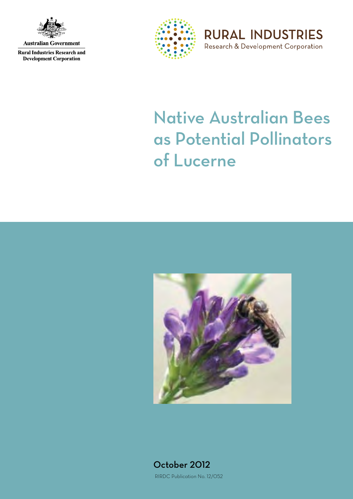

**Australian Government** 

**Rural Industries Research and Development Corporation** 



**RURAL INDUSTRIES** Research & Development Corporation

# Native Australian Bees as Potential Pollinators of Lucerne



October 2012 RIRDC Publication No. 12/052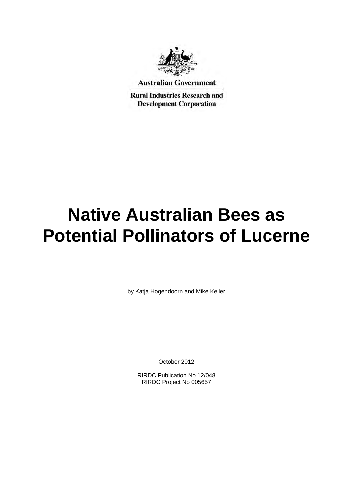

**Australian Government** 

**Rural Industries Research and Development Corporation** 

# **Native Australian Bees as Potential Pollinators of Lucerne**

by Katja Hogendoorn and Mike Keller

October 2012

RIRDC Publication No 12/048 RIRDC Project No 005657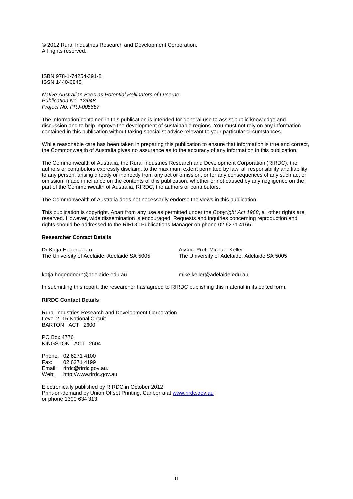© 2012 Rural Industries Research and Development Corporation. All rights reserved.

ISBN 978-1-74254-391-8 ISSN 1440-6845

*Native Australian Bees as Potential Pollinators of Lucerne Publication No. 12/048 Project No. PRJ-005657* 

The information contained in this publication is intended for general use to assist public knowledge and discussion and to help improve the development of sustainable regions. You must not rely on any information contained in this publication without taking specialist advice relevant to your particular circumstances.

While reasonable care has been taken in preparing this publication to ensure that information is true and correct, the Commonwealth of Australia gives no assurance as to the accuracy of any information in this publication.

The Commonwealth of Australia, the Rural Industries Research and Development Corporation (RIRDC), the authors or contributors expressly disclaim, to the maximum extent permitted by law, all responsibility and liability to any person, arising directly or indirectly from any act or omission, or for any consequences of any such act or omission, made in reliance on the contents of this publication, whether or not caused by any negligence on the part of the Commonwealth of Australia, RIRDC, the authors or contributors.

The Commonwealth of Australia does not necessarily endorse the views in this publication.

This publication is copyright. Apart from any use as permitted under the *Copyright Act 1968*, all other rights are reserved. However, wide dissemination is encouraged. Requests and inquiries concerning reproduction and rights should be addressed to the RIRDC Publications Manager on phone 02 6271 4165.

#### **Researcher Contact Details**

Dr Katja Hogendoorn The University of Adelaide, Adelaide SA 5005 Assoc. Prof. Michael Keller The University of Adelaide, Adelaide SA 5005

katja.hogendoorn@adelaide.edu.au

mike.keller@adelaide.edu.au

In submitting this report, the researcher has agreed to RIRDC publishing this material in its edited form.

#### **RIRDC Contact Details**

Rural Industries Research and Development Corporation Level 2, 15 National Circuit BARTON ACT 2600

PO Box 4776 KINGSTON ACT 2604

Phone: 02 6271 4100<br>Fax: 02 6271 4199 02 6271 4199 Email: rirdc@rirdc.gov.au. Web: http://www.rirdc.gov.au

Electronically published by RIRDC in October 2012 Print-on-demand by Union Offset Printing, Canberra at [www.rirdc.gov.au](http://www.rirdc.gov.au/)  or phone 1300 634 313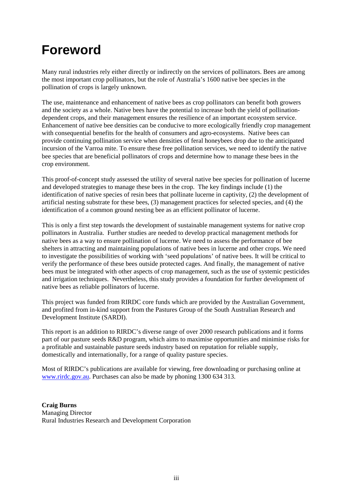## <span id="page-4-0"></span>**Foreword**

Many rural industries rely either directly or indirectly on the services of pollinators. Bees are among the most important crop pollinators, but the role of Australia's 1600 native bee species in the pollination of crops is largely unknown.

The use, maintenance and enhancement of native bees as crop pollinators can benefit both growers and the society as a whole. Native bees have the potential to increase both the yield of pollinationdependent crops, and their management ensures the resilience of an important ecosystem service. Enhancement of native bee densities can be conducive to more ecologically friendly crop management with consequential benefits for the health of consumers and agro-ecosystems. Native bees can provide continuing pollination service when densities of feral honeybees drop due to the anticipated incursion of the Varroa mite. To ensure these free pollination services, we need to identify the native bee species that are beneficial pollinators of crops and determine how to manage these bees in the crop environment.

This proof-of-concept study assessed the utility of several native bee species for pollination of lucerne and developed strategies to manage these bees in the crop. The key findings include (1) the identification of native species of resin bees that pollinate lucerne in captivity, (2) the development of artificial nesting substrate for these bees, (3) management practices for selected species, and (4) the identification of a common ground nesting bee as an efficient pollinator of lucerne.

This is only a first step towards the development of sustainable management systems for native crop pollinators in Australia. Further studies are needed to develop practical management methods for native bees as a way to ensure pollination of lucerne. We need to assess the performance of bee shelters in attracting and maintaining populations of native bees in lucerne and other crops. We need to investigate the possibilities of working with 'seed populations' of native bees. It will be critical to verify the performance of these bees outside protected cages. And finally, the management of native bees must be integrated with other aspects of crop management, such as the use of systemic pesticides and irrigation techniques. Nevertheless, this study provides a foundation for further development of native bees as reliable pollinators of lucerne.

This project was funded from RIRDC core funds which are provided by the Australian Government, and profited from in-kind support from the Pastures Group of the South Australian Research and Development Institute (SARDI).

This report is an addition to RIRDC's diverse range of over 2000 research publications and it forms part of our pasture seeds R&D program, which aims to maximise opportunities and minimise risks for a profitable and sustainable pasture seeds industry based on reputation for reliable supply, domestically and internationally, for a range of quality pasture species.

Most of RIRDC's publications are available for viewing, free downloading or purchasing online at [www.rirdc.gov.au.](http://www.rirdc.gov.au/) Purchases can also be made by phoning 1300 634 313.

**Craig Burns** Managing Director Rural Industries Research and Development Corporation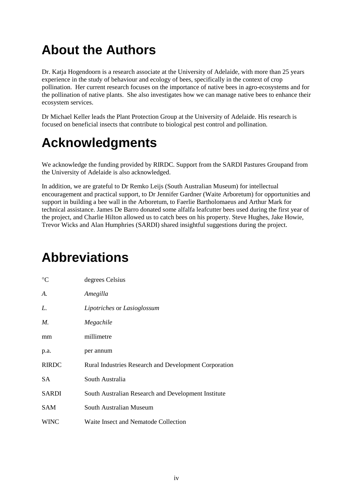## <span id="page-5-0"></span>**About the Authors**

Dr. Katja Hogendoorn is a research associate at the University of Adelaide, with more than 25 years experience in the study of behaviour and ecology of bees, specifically in the context of crop pollination. Her current research focuses on the importance of native bees in agro-ecosystems and for the pollination of native plants. She also investigates how we can manage native bees to enhance their ecosystem services.

Dr Michael Keller leads the Plant Protection Group at the University of Adelaide. His research is focused on beneficial insects that contribute to biological pest control and pollination.

## <span id="page-5-1"></span>**Acknowledgments**

We acknowledge the funding provided by RIRDC. Support from the SARDI Pastures Groupand from the University of Adelaide is also acknowledged.

In addition, we are grateful to Dr Remko Leijs (South Australian Museum) for intellectual encouragement and practical support, to Dr Jennifer Gardner (Waite Arboretum) for opportunities and support in building a bee wall in the Arboretum, to Faerlie Bartholomaeus and Arthur Mark for technical assistance. James De Barro donated some alfalfa leafcutter bees used during the first year of the project, and Charlie Hilton allowed us to catch bees on his property. Steve Hughes, Jake Howie, Trevor Wicks and Alan Humphries (SARDI) shared insightful suggestions during the project.

## <span id="page-5-2"></span>**Abbreviations**

| $\rm ^{\circ}C$ | degrees Celsius                                              |
|-----------------|--------------------------------------------------------------|
| А.              | Amegilla                                                     |
| L.              | Lipotriches or Lasioglossum                                  |
| $M_{\cdot}$     | Megachile                                                    |
| mm              | millimetre                                                   |
| p.a.            | per annum                                                    |
| <b>RIRDC</b>    | <b>Rural Industries Research and Development Corporation</b> |
| SA.             | South Australia                                              |
| <b>SARDI</b>    | South Australian Research and Development Institute          |
| <b>SAM</b>      | South Australian Museum                                      |
| <b>WINC</b>     | Waite Insect and Nematode Collection                         |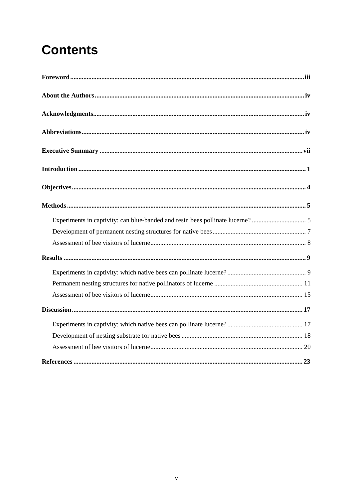## **Contents**

| $\textbf{Methods} \textcolor{red}{}\textcolor{red}{}\textbf{m} \textcolor{red}{}\textcolor{red}{}\textbf{m} \textcolor{red}{}\textbf{m} \textcolor{red}{}\textbf{m} \textcolor{red}{}\textbf{m} \textcolor{red}{}\textbf{m} \textcolor{red}{}\textbf{m} \textcolor{red}{}\textbf{m} \textcolor{red}{}\textbf{m} \textcolor{red}{}\textbf{m} \textcolor{red}{}\textbf{m} \textcolor{red}{}\textbf{m} \textcolor{red}{}\textbf{m} \textcolor{red}{}\textbf{m} \textcolor{red}{}\textbf{m} \textcolor{red}{}\textbf{m} \textcolor{red}{}\textbf{$ |  |
|------------------------------------------------------------------------------------------------------------------------------------------------------------------------------------------------------------------------------------------------------------------------------------------------------------------------------------------------------------------------------------------------------------------------------------------------------------------------------------------------------------------------------------------------|--|
|                                                                                                                                                                                                                                                                                                                                                                                                                                                                                                                                                |  |
|                                                                                                                                                                                                                                                                                                                                                                                                                                                                                                                                                |  |
|                                                                                                                                                                                                                                                                                                                                                                                                                                                                                                                                                |  |
|                                                                                                                                                                                                                                                                                                                                                                                                                                                                                                                                                |  |
|                                                                                                                                                                                                                                                                                                                                                                                                                                                                                                                                                |  |
|                                                                                                                                                                                                                                                                                                                                                                                                                                                                                                                                                |  |
|                                                                                                                                                                                                                                                                                                                                                                                                                                                                                                                                                |  |
|                                                                                                                                                                                                                                                                                                                                                                                                                                                                                                                                                |  |
|                                                                                                                                                                                                                                                                                                                                                                                                                                                                                                                                                |  |
|                                                                                                                                                                                                                                                                                                                                                                                                                                                                                                                                                |  |
|                                                                                                                                                                                                                                                                                                                                                                                                                                                                                                                                                |  |
|                                                                                                                                                                                                                                                                                                                                                                                                                                                                                                                                                |  |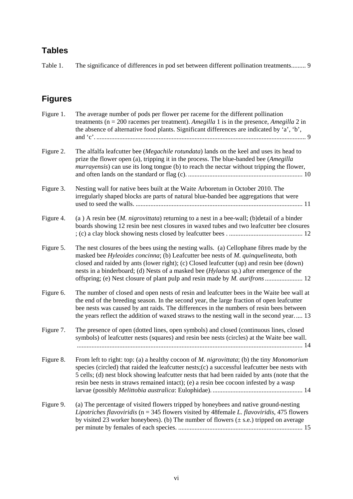### **Tables**

Table 1. The significance of differences in pod set between different pollination treatments......... 9

### **Figures**

| Figure 1. | The average number of pods per flower per raceme for the different pollination<br>treatments ( $n = 200$ racemes per treatment). Amegilla 1 is in the presence, Amegilla 2 in<br>the absence of alternative food plants. Significant differences are indicated by 'a', 'b',                                                                                                           |
|-----------|---------------------------------------------------------------------------------------------------------------------------------------------------------------------------------------------------------------------------------------------------------------------------------------------------------------------------------------------------------------------------------------|
| Figure 2. | The alfalfa leafcutter bee (Megachile rotundata) lands on the keel and uses its head to<br>prize the flower open (a), tripping it in the process. The blue-banded bee (Amegilla<br><i>murrayensis</i> ) can use its long tongue (b) to reach the nectar without tripping the flower,                                                                                                  |
| Figure 3. | Nesting wall for native bees built at the Waite Arboretum in October 2010. The<br>irregularly shaped blocks are parts of natural blue-banded bee aggregations that were                                                                                                                                                                                                               |
| Figure 4. | (a) A resin bee ( <i>M. nigrovittata</i> ) returning to a nest in a bee-wall; (b)detail of a binder<br>boards showing 12 resin bee nest closures in waxed tubes and two leafcutter bee closures                                                                                                                                                                                       |
| Figure 5. | The nest closures of the bees using the nesting walls. (a) Cellophane fibres made by the<br>masked bee Hyleoides concinna; (b) Leafcutter bee nests of M. quinquelineata, both<br>closed and raided by ants (lower right); (c) Closed leafcutter (up) and resin bee (down)<br>nests in a binderboard; (d) Nests of a masked bee ( <i>Hylaeus</i> sp.) after emergence of the          |
| Figure 6. | The number of closed and open nests of resin and leafcutter bees in the Waite bee wall at<br>the end of the breeding season. In the second year, the large fraction of open leafcutter<br>bee nests was caused by ant raids. The differences in the numbers of resin bees between<br>the years reflect the addition of waxed straws to the nesting wall in the second year 13         |
| Figure 7. | The presence of open (dotted lines, open symbols) and closed (continuous lines, closed<br>symbols) of leafcutter nests (squares) and resin bee nests (circles) at the Waite bee wall.                                                                                                                                                                                                 |
| Figure 8. | From left to right: top: (a) a healthy cocoon of M. nigrovittata; (b) the tiny Monomorium<br>species (circled) that raided the leafcutter nests; (c) a successful leafcutter bee nests with<br>5 cells; (d) nest block showing leaf cutter nests that had been raided by ants (note that the<br>resin bee nests in straws remained intact); (e) a resin bee cocoon infested by a wasp |
| Figure 9. | (a) The percentage of visited flowers tripped by honeybees and native ground-nesting<br>Lipotriches flavoviridis ( $n = 345$ flowers visited by 48 female L. flavoviridis, 475 flowers<br>by visited 23 worker honeybees). (b) The number of flowers $(\pm s.e.)$ tripped on average                                                                                                  |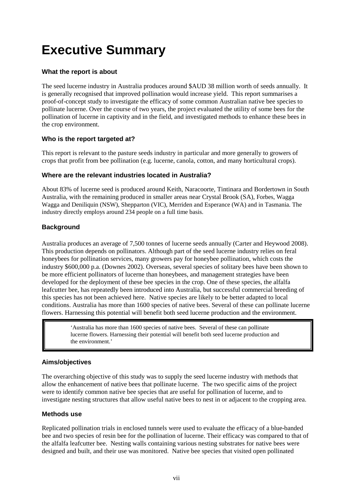## <span id="page-8-0"></span>**Executive Summary**

#### **What the report is about**

The seed lucerne industry in Australia produces around \$AUD 38 million worth of seeds annually. It is generally recognised that improved pollination would increase yield. This report summarises a proof-of-concept study to investigate the efficacy of some common Australian native bee species to pollinate lucerne. Over the course of two years, the project evaluated the utility of some bees for the pollination of lucerne in captivity and in the field, and investigated methods to enhance these bees in the crop environment.

#### **Who is the report targeted at?**

This report is relevant to the pasture seeds industry in particular and more generally to growers of crops that profit from bee pollination (e.g. lucerne, canola, cotton, and many horticultural crops).

#### **Where are the relevant industries located in Australia?**

About 83% of lucerne seed is produced around Keith, Naracoorte, Tintinara and Bordertown in South Australia, with the remaining produced in smaller areas near Crystal Brook (SA), Forbes, Wagga Wagga and Deniliquin (NSW), Shepparton (VIC), Merriden and Esperance (WA) and in Tasmania. The industry directly employs around 234 people on a full time basis.

#### **Background**

Australia produces an average of 7,500 tonnes of lucerne seeds annually (Carter and Heywood 2008). This production depends on pollinators. Although part of the seed lucerne industry relies on feral honeybees for pollination services, many growers pay for honeybee pollination, which costs the industry \$600,000 p.a. (Downes 2002). Overseas, several species of solitary bees have been shown to be more efficient pollinators of lucerne than honeybees, and management strategies have been developed for the deployment of these bee species in the crop. One of these species, the alfalfa leafcutter bee, has repeatedly been introduced into Australia, but successful commercial breeding of this species has not been achieved here. Native species are likely to be better adapted to local conditions. Australia has more than 1600 species of native bees. Several of these can pollinate lucerne flowers. Harnessing this potential will benefit both seed lucerne production and the environment.

> 'Australia has more than 1600 species of native bees. Several of these can pollinate lucerne flowers. Harnessing their potential will benefit both seed lucerne production and the environment.'

#### **Aims/objectives**

The overarching objective of this study was to supply the seed lucerne industry with methods that allow the enhancement of native bees that pollinate lucerne. The two specific aims of the project were to identify common native bee species that are useful for pollination of lucerne, and to investigate nesting structures that allow useful native bees to nest in or adjacent to the cropping area.

#### **Methods use**

Replicated pollination trials in enclosed tunnels were used to evaluate the efficacy of a blue-banded bee and two species of resin bee for the pollination of lucerne. Their efficacy was compared to that of the alfalfa leafcutter bee. Nesting walls containing various nesting substrates for native bees were designed and built, and their use was monitored. Native bee species that visited open pollinated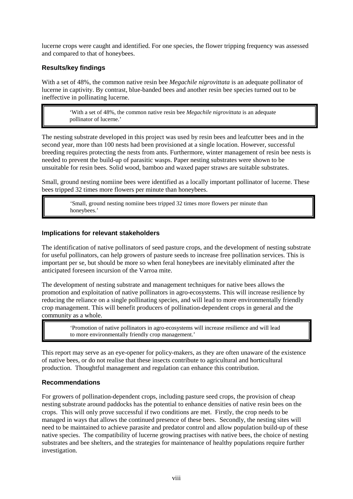lucerne crops were caught and identified. For one species, the flower tripping frequency was assessed and compared to that of honeybees.

#### **Results/key findings**

I

With a set of 48%, the common native resin bee *Megachile nigrovittata* is an adequate pollinator of lucerne in captivity. By contrast, blue-banded bees and another resin bee species turned out to be ineffective in pollinating lucerne.

> 'With a set of 48%, the common native resin bee *Megachile nigrovittata* is an adequate pollinator of lucerne.'

The nesting substrate developed in this project was used by resin bees and leafcutter bees and in the second year, more than 100 nests had been provisioned at a single location. However, successful breeding requires protecting the nests from ants. Furthermore, winter management of resin bee nests is needed to prevent the build-up of parasitic wasps. Paper nesting substrates were shown to be unsuitable for resin bees. Solid wood, bamboo and waxed paper straws are suitable substrates.

Small, ground nesting nomiine bees were identified as a locally important pollinator of lucerne. These bees tripped 32 times more flowers per minute than honeybees.

> 'Small, ground nesting nomiine bees tripped 32 times more flowers per minute than honeybees.'

#### **Implications for relevant stakeholders**

The identification of native pollinators of seed pasture crops, and the development of nesting substrate for useful pollinators, can help growers of pasture seeds to increase free pollination services. This is important per se, but should be more so when feral honeybees are inevitably eliminated after the anticipated foreseen incursion of the Varroa mite.

The development of nesting substrate and management techniques for native bees allows the promotion and exploitation of native pollinators in agro-ecosystems. This will increase resilience by reducing the reliance on a single pollinating species, and will lead to more environmentally friendly crop management. This will benefit producers of pollination-dependent crops in general and the community as a whole.

> 'Promotion of native pollinators in agro-ecosystems will increase resilience and will lead to more environmentally friendly crop management.'

This report may serve as an eye-opener for policy-makers, as they are often unaware of the existence of native bees, or do not realise that these insects contribute to agricultural and horticultural production. Thoughtful management and regulation can enhance this contribution.

#### **Recommendations**

For growers of pollination-dependent crops, including pasture seed crops, the provision of cheap nesting substrate around paddocks has the potential to enhance densities of native resin bees on the crops. This will only prove successful if two conditions are met. Firstly, the crop needs to be managed in ways that allows the continued presence of these bees. Secondly, the nesting sites will need to be maintained to achieve parasite and predator control and allow population build-up of these native species. The compatibility of lucerne growing practises with native bees, the choice of nesting substrates and bee shelters, and the strategies for maintenance of healthy populations require further investigation.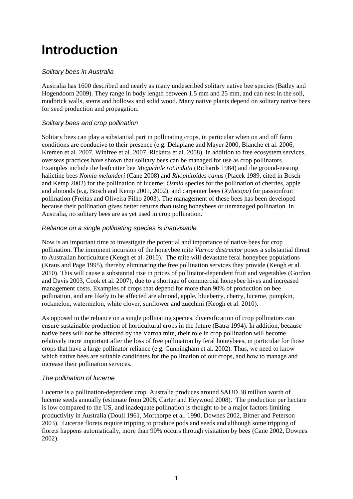## <span id="page-10-0"></span>**Introduction**

#### *Solitary bees in Australia*

Australia has 1600 described and nearly as many undescribed solitary native bee species (Batley and Hogendoorn 2009). They range in body length between 1.5 mm and 25 mm, and can nest in the soil, mudbrick walls, stems and hollows and solid wood. Many native plants depend on solitary native bees for seed production and propagation.

#### *Solitary bees and crop pollination*

Solitary bees can play a substantial part in pollinating crops, in particular when on and off farm conditions are conducive to their presence (e.g. Delaplane and Mayer 2000, Blanche et al. 2006, Kremen et al. 2007, Winfree et al. 2007, Ricketts et al. 2008). In addition to free ecosystem services, overseas practices have shown that solitary bees can be managed for use as crop pollinators. Examples include the leafcutter bee *Megachile rotundata* (Richards 1984) and the ground-nesting halictine bees *Nomia melanderi* (Cane 2008) and *Rhophitoides canus* (Ptacek 1989, cited in Bosch and Kemp 2002) for the pollination of lucerne; *Osmia* species for the pollination of cherries, apple and almonds (e.g. Bosch and Kemp 2001, 2002), and carpenter bees (*Xylocopa*) for passionfruit pollination (Freitas and Oliveira Filho 2003). The management of these bees has been developed because their pollination gives better returns than using honeybees or unmanaged pollination. In Australia, no solitary bees are as yet used in crop pollination.

#### *Reliance on a single pollinating species is inadvisable*

Now is an important time to investigate the potential and importance of native bees for crop pollination. The imminent incursion of the honeybee mite *Varroa destructor* poses a substantial threat to Australian horticulture (Keogh et al. 2010). The mite will devastate feral honeybee populations (Kraus and Page 1995), thereby eliminating the free pollination services they provide (Keogh et al. 2010). This will cause a substantial rise in prices of pollinator-dependent fruit and vegetables (Gordon and Davis 2003, Cook et al. 2007), due to a shortage of commercial honeybee hives and increased management costs. Examples of crops that depend for more than 90% of production on bee pollination, and are likely to be affected are almond, apple, blueberry, cherry, lucerne, pumpkin, rockmelon, watermelon, white clover, sunflower and zucchini (Keogh et al. 2010).

As opposed to the reliance on a single pollinating species, diversification of crop pollinators can ensure sustainable production of horticultural crops in the future (Batra 1994). In addition, because native bees will not be affected by the Varroa mite, their role in crop pollination will become relatively more important after the loss of free pollination by feral honeybees, in particular for those crops that have a large pollinator reliance (e.g. Cunningham et al. 2002). Thus, we need to know which native bees are suitable candidates for the pollination of our crops, and how to manage and increase their pollination services.

#### *The pollination of lucerne*

Lucerne is a pollination-dependent crop. Australia produces around \$AUD 38 million worth of lucerne seeds annually (estimate from 2008, Carter and Heywood 2008). The production per hectare is low compared to the US, and inadequate pollination is thought to be a major factors limiting productivity in Australia (Doull 1961, Morthorpe et al. 1990, Downes 2002, Bitner and Peterson 2003). Lucerne florets require tripping to produce pods and seeds and although some tripping of florets happens automatically, more than 90% occurs through visitation by bees (Cane 2002, Downes 2002).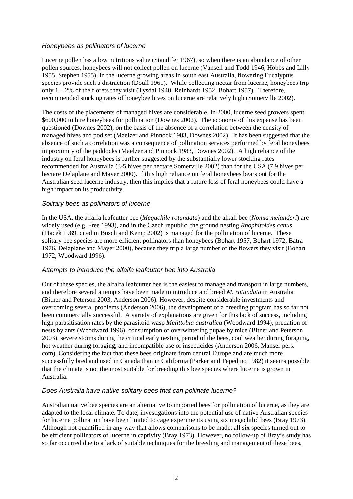#### *Honeybees as pollinators of lucerne*

Lucerne pollen has a low nutritious value (Standifer 1967), so when there is an abundance of other pollen sources, honeybees will not collect pollen on lucerne (Vansell and Todd 1946, Hobbs and Lilly 1955, Stephen 1955). In the lucerne growing areas in south east Australia, flowering Eucalyptus species provide such a distraction (Doull 1961). While collecting nectar from lucerne, honeybees trip only 1 – 2% of the florets they visit (Tysdal 1940, Reinhardt 1952, Bohart 1957). Therefore, recommended stocking rates of honeybee hives on lucerne are relatively high (Somerville 2002).

The costs of the placements of managed hives are considerable. In 2000, lucerne seed growers spent \$600,000 to hire honeybees for pollination (Downes 2002). The economy of this expense has been questioned (Downes 2002), on the basis of the absence of a correlation between the density of managed hives and pod set (Maelzer and Pinnock 1983, Downes 2002). It has been suggested that the absence of such a correlation was a consequence of pollination services performed by feral honeybees in proximity of the paddocks (Maelzer and Pinnock 1983, Downes 2002). A high reliance of the industry on feral honeybees is further suggested by the substantially lower stocking rates recommended for Australia (3-5 hives per hectare Somerville 2002) than for the USA (7.9 hives per hectare Delaplane and Mayer 2000). If this high reliance on feral honeybees bears out for the Australian seed lucerne industry, then this implies that a future loss of feral honeybees could have a high impact on its productivity.

#### *Solitary bees as pollinators of lucerne*

In the USA, the alfalfa leafcutter bee (*Megachile rotundata*) and the alkali bee (*Nomia melanderi*) are widely used (e.g. Free 1993), and in the Czech republic, the ground nesting *Rhophitoides canus* (Ptacek 1989, cited in Bosch and Kemp 2002) is managed for the pollination of lucerne. These solitary bee species are more efficient pollinators than honeybees (Bohart 1957, Bohart 1972, Batra 1976, Delaplane and Mayer 2000), because they trip a large number of the flowers they visit (Bohart 1972, Woodward 1996).

#### *Attempts to introduce the alfalfa leafcutter bee into Australia*

Out of these species, the alfalfa leafcutter bee is the easiest to manage and transport in large numbers, and therefore several attempts have been made to introduce and breed *M. rotundata* in Australia (Bitner and Peterson 2003, Anderson 2006). However, despite considerable investments and overcoming several problems (Anderson 2006), the development of a breeding program has so far not been commercially successful. A variety of explanations are given for this lack of success, including high parasitisation rates by the parasitoid wasp *Melittobia australica* (Woodward 1994), predation of nests by ants (Woodward 1996), consumption of overwintering pupae by mice (Bitner and Peterson 2003), severe storms during the critical early nesting period of the bees, cool weather during foraging, hot weather during foraging, and incompatible use of insecticides (Anderson 2006, Manser pers. com). Considering the fact that these bees originate from central Europe and are much more successfully bred and used in Canada than in California (Parker and Tepedino 1982) it seems possible that the climate is not the most suitable for breeding this bee species where lucerne is grown in Australia.

#### *Does Australia have native solitary bees that can pollinate lucerne?*

Australian native bee species are an alternative to imported bees for pollination of lucerne, as they are adapted to the local climate. To date, investigations into the potential use of native Australian species for lucerne pollination have been limited to cage experiments using six megachilid bees (Bray 1973). Although not quantified in any way that allows comparisons to be made, all six species turned out to be efficient pollinators of lucerne in captivity (Bray 1973). However, no follow-up of Bray's study has so far occurred due to a lack of suitable techniques for the breeding and management of these bees,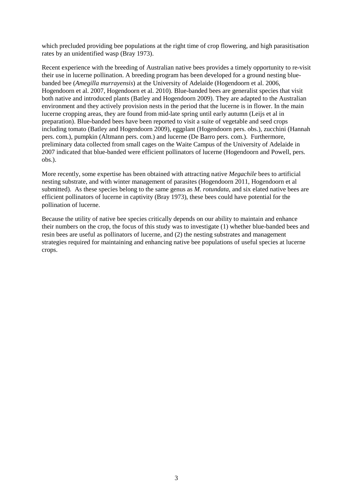which precluded providing bee populations at the right time of crop flowering, and high parasitisation rates by an unidentified wasp (Bray 1973).

Recent experience with the breeding of Australian native bees provides a timely opportunity to re-visit their use in lucerne pollination. A breeding program has been developed for a ground nesting bluebanded bee (*Amegilla murrayensis*) at the University of Adelaide (Hogendoorn et al. 2006, Hogendoorn et al. 2007, Hogendoorn et al. 2010). Blue-banded bees are generalist species that visit both native and introduced plants (Batley and Hogendoorn 2009). They are adapted to the Australian environment and they actively provision nests in the period that the lucerne is in flower. In the main lucerne cropping areas, they are found from mid-late spring until early autumn (Leijs et al in preparation). Blue-banded bees have been reported to visit a suite of vegetable and seed crops including tomato (Batley and Hogendoorn 2009), eggplant (Hogendoorn pers. obs.), zucchini (Hannah pers. com.), pumpkin (Altmann pers. com.) and lucerne (De Barro pers. com.). Furthermore, preliminary data collected from small cages on the Waite Campus of the University of Adelaide in 2007 indicated that blue-banded were efficient pollinators of lucerne (Hogendoorn and Powell, pers. obs.).

More recently, some expertise has been obtained with attracting native *Megachile* bees to artificial nesting substrate, and with winter management of parasites (Hogendoorn 2011, Hogendoorn et al submitted). As these species belong to the same genus as *M. rotundata*, and six elated native bees are efficient pollinators of lucerne in captivity (Bray 1973), these bees could have potential for the pollination of lucerne.

Because the utility of native bee species critically depends on our ability to maintain and enhance their numbers on the crop, the focus of this study was to investigate (1) whether blue-banded bees and resin bees are useful as pollinators of lucerne, and (2) the nesting substrates and management strategies required for maintaining and enhancing native bee populations of useful species at lucerne crops.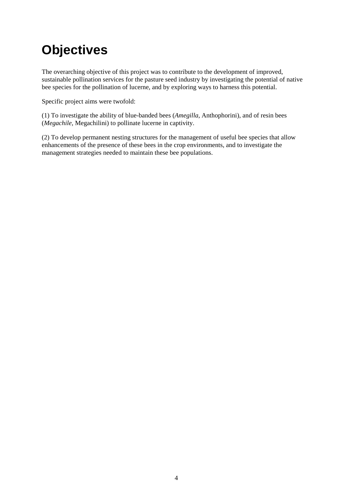## <span id="page-13-0"></span>**Objectives**

The overarching objective of this project was to contribute to the development of improved, sustainable pollination services for the pasture seed industry by investigating the potential of native bee species for the pollination of lucerne, and by exploring ways to harness this potential.

Specific project aims were twofold:

(1) To investigate the ability of blue-banded bees (*Amegilla*, Anthophorini), and of resin bees (*Megachile*, Megachilini) to pollinate lucerne in captivity.

(2) To develop permanent nesting structures for the management of useful bee species that allow enhancements of the presence of these bees in the crop environments, and to investigate the management strategies needed to maintain these bee populations.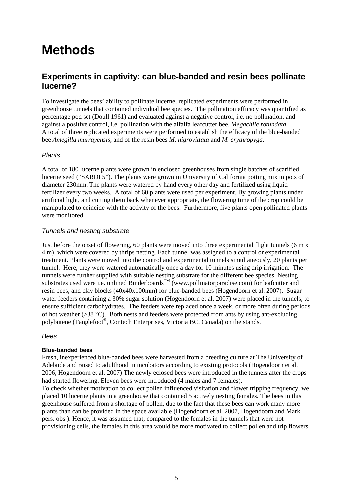## <span id="page-14-0"></span>**Methods**

### <span id="page-14-1"></span>**Experiments in captivity: can blue-banded and resin bees pollinate lucerne?**

To investigate the bees' ability to pollinate lucerne, replicated experiments were performed in greenhouse tunnels that contained individual bee species. The pollination efficacy was quantified as percentage pod set (Doull 1961) and evaluated against a negative control, i.e. no pollination, and against a positive control, i.e. pollination with the alfalfa leafcutter bee, *Megachile rotundata*. A total of three replicated experiments were performed to establish the efficacy of the blue-banded bee *Amegilla murrayensis*, and of the resin bees *M. nigrovittata* and *M. erythropyga*.

#### *Plants*

A total of 180 lucerne plants were grown in enclosed greenhouses from single batches of scarified lucerne seed ("SARDI 5"). The plants were grown in University of California potting mix in pots of diameter 230mm. The plants were watered by hand every other day and fertilized using liquid fertilizer every two weeks. A total of 60 plants were used per experiment. By growing plants under artificial light, and cutting them back whenever appropriate, the flowering time of the crop could be manipulated to coincide with the activity of the bees. Furthermore, five plants open pollinated plants were monitored.

#### *Tunnels and nesting substrate*

Just before the onset of flowering, 60 plants were moved into three experimental flight tunnels (6 m x 4 m), which were covered by thrips netting. Each tunnel was assigned to a control or experimental treatment. Plants were moved into the control and experimental tunnels simultaneously, 20 plants per tunnel. Here, they were watered automatically once a day for 10 minutes using drip irrigation. The tunnels were further supplied with suitable nesting substrate for the different bee species. Nesting substrates used were i.e. unlined Binderboards<sup>TM</sup> (www.pollinatorparadise.com) for leafcutter and resin bees, and clay blocks (40x40x100mm) for blue-banded bees (Hogendoorn et al. 2007). Sugar water feeders containing a 30% sugar solution (Hogendoorn et al. 2007) were placed in the tunnels, to ensure sufficient carbohydrates. The feeders were replaced once a week, or more often during periods of hot weather (>38 °C). Both nests and feeders were protected from ants by using ant-excluding polybutene (Tanglefoot®, Contech Enterprises, Victoria BC, Canada) on the stands.

#### *Bees*

#### **Blue-banded bees**

Fresh, inexperienced blue-banded bees were harvested from a breeding culture at The University of Adelaide and raised to adulthood in incubators according to existing protocols (Hogendoorn et al. 2006, Hogendoorn et al. 2007) The newly eclosed bees were introduced in the tunnels after the crops had started flowering. Eleven bees were introduced (4 males and 7 females).

To check whether motivation to collect pollen influenced visitation and flower tripping frequency, we placed 10 lucerne plants in a greenhouse that contained 5 actively nesting females. The bees in this greenhouse suffered from a shortage of pollen, due to the fact that these bees can work many more plants than can be provided in the space available (Hogendoorn et al. 2007, Hogendoorn and Mark pers. obs ). Hence, it was assumed that, compared to the females in the tunnels that were not provisioning cells, the females in this area would be more motivated to collect pollen and trip flowers.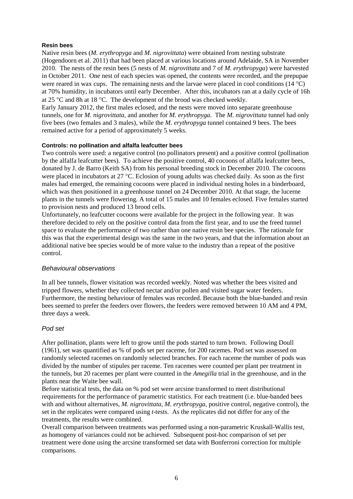#### **Resin bees**

Native resin bees (*M. erythropyga* and *M. nigrovittata*) were obtained from nesting substrate (Hogendoorn et al. 2011) that had been placed at various locations around Adelaide, SA in November 2010. The nests of the resin bees (5 nests of *M. nigrovittata* and 7 of *M. erythropyga*) were harvested in October 2011. One nest of each species was opened, the contents were recorded, and the prepupae were reared in wax cups. The remaining nests and the larvae were placed in cool conditions  $(14 \degree C)$ at 70% humidity, in incubators until early December. After this, incubators ran at a daily cycle of 16h at 25 °C and 8h at 18 °C. The development of the brood was checked weekly.

Early January 2012, the first males eclosed, and the nests were moved into separate greenhouse tunnels, one for *M. nigrovittata*, and another for *M. erythropyga*. The *M. nigrovittata* tunnel had only five bees (two females and 3 males), while the *M. erythropyga* tunnel contained 9 bees. The bees remained active for a period of approximately 5 weeks.

#### **Controls: no pollination and alfalfa leafcutter bees**

Two controls were used: a negative control (no pollinators present) and a positive control (pollination by the alfalfa leafcutter bees). To achieve the positive control, 40 cocoons of alfalfa leafcutter bees, donated by J. de Barro (Keith SA) from his personal breeding stock in December 2010. The cocoons were placed in incubators at 27 °C. Eclosion of young adults was checked daily. As soon as the first males had emerged, the remaining cocoons were placed in individual nesting holes in a binderboard, which was then positioned in a greenhouse tunnel on 24 December 2010. At that stage, the lucerne plants in the tunnels were flowering. A total of 15 males and 10 females eclosed. Five females started to provision nests and produced 13 brood cells.

Unfortunately, no leafcutter cocoons were available for the project in the following year. It was therefore decided to rely on the positive control data from the first year, and to use the freed tunnel space to evaluate the performance of two rather than one native resin bee species. The rationale for this was that the experimental design was the same in the two years, and that the information about an additional native bee species would be of more value to the industry than a repeat of the positive control.

#### *Behavioural observations*

In all bee tunnels, flower visitation was recorded weekly. Noted was whether the bees visited and tripped flowers, whether they collected nectar and/or pollen and visited sugar water feeders. Furthermore, the nesting behaviour of females was recorded. Because both the blue-banded and resin bees seemed to prefer the feeders over flowers, the feeders were removed between 10 AM and 4 PM, three days a week.

#### *Pod set*

After pollination, plants were left to grow until the pods started to turn brown. Following Doull (1961), set was quantified as % of pods set per raceme, for 200 racemes. Pod set was assessed on randomly selected racemes on randomly selected branches. For each raceme the number of pods was divided by the number of stipules per raceme. Ten racemes were counted per plant per treatment in the tunnels, but 20 racemes per plant were counted in the *Amegilla* trial in the greenhouse, and in the plants near the Waite bee wall.

Before statistical tests, the data on % pod set were arcsine transformed to meet distributional requirements for the performance of parametric statistics. For each treatment (i.e. blue-banded bees with and without alternatives, *M. nigrovittata*, *M. erythropyga*, positive control, negative control), the set in the replicates were compared using *t*-tests. As the replicates did not differ for any of the treatments, the results were combined.

Overall comparison between treatments was performed using a non-parametric Kruskall-Wallis test, as homogeny of variances could not be achieved. Subsequent post-hoc comparison of set per treatment were done using the arcsine transformed set data with Bonferroni correction for multiple comparisons.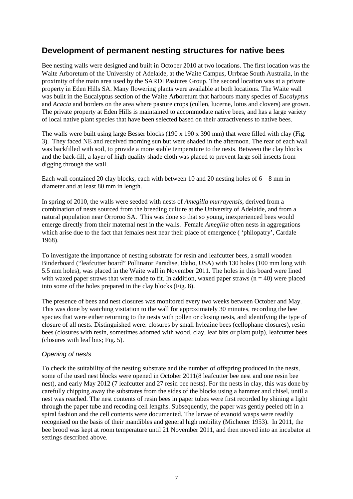### <span id="page-16-0"></span>**Development of permanent nesting structures for native bees**

Bee nesting walls were designed and built in October 2010 at two locations. The first location was the Waite Arboretum of the University of Adelaide, at the Waite Campus, Urrbrae South Australia, in the proximity of the main area used by the SARDI Pastures Group. The second location was at a private property in Eden Hills SA. Many flowering plants were available at both locations. The Waite wall was built in the Eucalyptus section of the Waite Arboretum that harbours many species of *Eucalyptus* and *Acacia* and borders on the area where pasture crops (cullen, lucerne, lotus and clovers) are grown. The private property at Eden Hills is maintained to accommodate native bees, and has a large variety of local native plant species that have been selected based on their attractiveness to native bees.

The walls were built using large Besser blocks (190 x 190 x 390 mm) that were filled with clay (Fig. 3). They faced NE and received morning sun but were shaded in the afternoon. The rear of each wall was backfilled with soil, to provide a more stable temperature to the nests. Between the clay blocks and the back-fill, a layer of high quality shade cloth was placed to prevent large soil insects from digging through the wall.

Each wall contained 20 clay blocks, each with between 10 and 20 nesting holes of  $6 - 8$  mm in diameter and at least 80 mm in length.

In spring of 2010, the walls were seeded with nests of *Amegilla murrayensis*, derived from a combination of nests sourced from the breeding culture at the University of Adelaide, and from a natural population near Orroroo SA. This was done so that so young, inexperienced bees would emerge directly from their maternal nest in the walls. Female *Amegilla* often nests in aggregations which arise due to the fact that females nest near their place of emergence ( 'philopatry', Cardale 1968).

To investigate the importance of nesting substrate for resin and leafcutter bees, a small wooden Binderboard ("leafcutter board" Pollinator Paradise, Idaho, USA) with 130 holes (100 mm long with 5.5 mm holes), was placed in the Waite wall in November 2011. The holes in this board were lined with waxed paper straws that were made to fit. In addition, waxed paper straws ( $n = 40$ ) were placed into some of the holes prepared in the clay blocks (Fig. 8).

The presence of bees and nest closures was monitored every two weeks between October and May. This was done by watching visitation to the wall for approximately 30 minutes, recording the bee species that were either returning to the nests with pollen or closing nests, and identifying the type of closure of all nests. Distinguished were: closures by small hyleaine bees (cellophane closures), resin bees (closures with resin, sometimes adorned with wood, clay, leaf bits or plant pulp), leafcutter bees (closures with leaf bits; Fig. 5).

#### *Opening of nests*

To check the suitability of the nesting substrate and the number of offspring produced in the nests, some of the used nest blocks were opened in October 2011(8 leafcutter bee nest and one resin bee nest), and early May 2012 (7 leafcutter and 27 resin bee nests). For the nests in clay, this was done by carefully chipping away the substrates from the sides of the blocks using a hammer and chisel, until a nest was reached. The nest contents of resin bees in paper tubes were first recorded by shining a light through the paper tube and recoding cell lengths. Subsequently, the paper was gently peeled off in a spiral fashion and the cell contents were documented. The larvae of evanoid wasps were readily recognised on the basis of their mandibles and general high mobility (Michener 1953). In 2011, the bee brood was kept at room temperature until 21 November 2011, and then moved into an incubator at settings described above.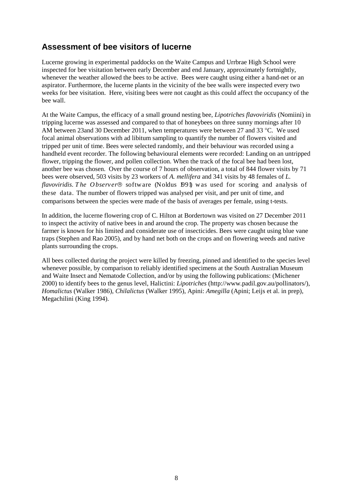### <span id="page-17-0"></span>**Assessment of bee visitors of lucerne**

Lucerne growing in experimental paddocks on the Waite Campus and Urrbrae High School were inspected for bee visitation between early December and end January, approximately fortnightly, whenever the weather allowed the bees to be active. Bees were caught using either a hand-net or an aspirator. Furthermore, the lucerne plants in the vicinity of the bee walls were inspected every two weeks for bee visitation. Here, visiting bees were not caught as this could affect the occupancy of the bee wall.

At the Waite Campus, the efficacy of a small ground nesting bee, *Lipotriches flavoviridis* (Nomiini) in tripping lucerne was assessed and compared to that of honeybees on three sunny mornings after 10 AM between 23and 30 December 2011, when temperatures were between 27 and 33 °C. We used focal animal observations with ad libitum sampling to quantify the number of flowers visited and tripped per unit of time. Bees were selected randomly, and their behaviour was recorded using a handheld event recorder. The following behavioural elements were recorded: Landing on an untripped flower, tripping the flower, and pollen collection. When the track of the focal bee had been lost, another bee was chosen. Over the course of 7 hours of observation, a total of 844 flower visits by 71 bees were observed, 503 visits by 23 workers of *A. mellifera* and 341 visits by 48 females of *L. flavoviridis. The Observer*® software (Noldus 1991) was used for scoring and analysis of these data. The number of flowers tripped was analysed per visit, and per unit of time, and comparisons between the species were made of the basis of averages per female, using t-tests.

In addition, the lucerne flowering crop of C. Hilton at Bordertown was visited on 27 December 2011 to inspect the activity of native bees in and around the crop. The property was chosen because the farmer is known for his limited and considerate use of insecticides. Bees were caught using blue vane traps (Stephen and Rao 2005), and by hand net both on the crops and on flowering weeds and native plants surrounding the crops.

All bees collected during the project were killed by freezing, pinned and identified to the species level whenever possible, by comparison to reliably identified specimens at the South Australian Museum and Waite Insect and Nematode Collection, and/or by using the following publications: (Michener 2000) to identify bees to the genus level, Halictini: *Lipotriches* (http://www.padil.gov.au/pollinators/), *Homalictus* (Walker 1986), *Chilalictus* (Walker 1995), Apini: *Amegilla* (Apini; Leijs et al. in prep), Megachilini (King 1994).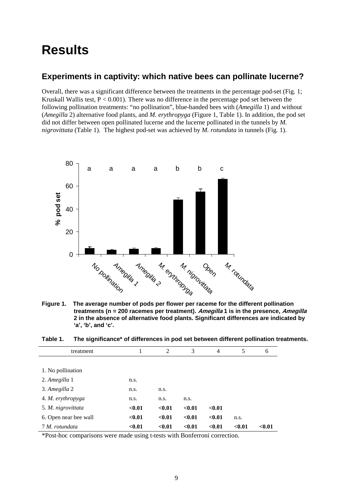### <span id="page-18-0"></span>**Results**

### <span id="page-18-1"></span>**Experiments in captivity: which native bees can pollinate lucerne?**

Overall, there was a significant difference between the treatments in the percentage pod-set (Fig*.* 1; Kruskall Wallis test,  $P < 0.001$ ). There was no difference in the percentage pod set between the following pollination treatments: "no pollination", blue-banded bees with (*Amegilla* 1) and without (*Amegilla* 2) alternative food plants, and *M. erythropyga* (Figure 1, Table 1). In addition, the pod set did not differ between open pollinated lucerne and the lucerne pollinated in the tunnels by *M. nigrovittata* (Table 1). The highest pod-set was achieved by *M. rotundata* in tunnels (Fig*.* 1).



<span id="page-18-3"></span>**Figure 1. The average number of pods per flower per raceme for the different pollination treatments (n = 200 racemes per treatment). Amegilla 1 is in the presence, Amegilla 2 in the absence of alternative food plants. Significant differences are indicated by 'a', 'b', and 'c'.** 

<span id="page-18-2"></span>

| Table 1. |  |  | The significance* of differences in pod set between different pollination treatments. |
|----------|--|--|---------------------------------------------------------------------------------------|
|----------|--|--|---------------------------------------------------------------------------------------|

| treatment             | 1      | 2      | 3      | 4      | 5      | 6      |
|-----------------------|--------|--------|--------|--------|--------|--------|
|                       |        |        |        |        |        |        |
| 1. No pollination     |        |        |        |        |        |        |
| 2. Amegilla 1         | n.s.   |        |        |        |        |        |
| 3. Amegilla 2         | n.s.   | n.s.   |        |        |        |        |
| 4. M. erythropyga     | n.s.   | n.s.   | n.s.   |        |        |        |
| 5. M. nigrovittata    | < 0.01 | < 0.01 | < 0.01 | < 0.01 |        |        |
| 6. Open near bee wall | < 0.01 | < 0.01 | < 0.01 | < 0.01 | n.s.   |        |
| 7 M. rotundata        | < 0.01 | < 0.01 | < 0.01 | < 0.01 | < 0.01 | < 0.01 |

\*Post-hoc comparisons were made using t-tests with Bonferroni correction.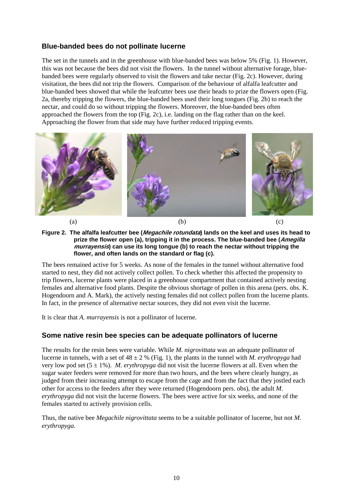#### **Blue-banded bees do not pollinate lucerne**

The set in the tunnels and in the greenhouse with blue-banded bees was below 5% (Fig. 1). However, this was not because the bees did not visit the flowers. In the tunnel without alternative forage, bluebanded bees were regularly observed to visit the flowers and take nectar (Fig. 2c). However, during visitation, the bees did not trip the flowers. Comparison of the behaviour of alfalfa leafcutter and blue-banded bees showed that while the leafcutter bees use their heads to prize the flowers open (Fig. 2a, thereby tripping the flowers, the blue-banded bees used their long tongues (Fig. 2b) to reach the nectar, and could do so without tripping the flowers. Moreover, the blue-banded bees often approached the flowers from the top (Fig. 2c), i.e. landing on the flag rather than on the keel. Approaching the flower from that side may have further reduced tripping events.



<span id="page-19-0"></span>**Figure 2. The alfalfa leafcutter bee (Megachile rotundata) lands on the keel and uses its head to prize the flower open (a), tripping it in the process. The blue-banded bee (Amegilla murrayensis) can use its long tongue (b) to reach the nectar without tripping the flower, and often lands on the standard or flag (c).** 

The bees remained active for 5 weeks. As none of the females in the tunnel without alternative food started to nest, they did not actively collect pollen. To check whether this affected the propensity to trip flowers, lucerne plants were placed in a greenhouse compartment that contained actively nesting females and alternative food plants. Despite the obvious shortage of pollen in this arena (pers. obs. K. Hogendoorn and A. Mark), the actively nesting females did not collect pollen from the lucerne plants. In fact, in the presence of alternative nectar sources, they did not even visit the lucerne.

It is clear that *A. murrayensis* is not a pollinator of lucerne.

#### **Some native resin bee species can be adequate pollinators of lucerne**

The results for the resin bees were variable. While *M. nigrovittata* was an adequate pollinator of lucerne in tunnels, with a set of 48 ± 2 % (Fig*.* 1), the plants in the tunnel with *M. erythropyga* had very low pod set (5 ± 1%). *M. erythropyga* did not visit the lucerne flowers at all. Even when the sugar water feeders were removed for more than two hours, and the bees where clearly hungry, as judged from their increasing attempt to escape from the cage and from the fact that they jostled each other for access to the feeders after they were returned (Hogendoorn pers. obs), the adult *M. erythropyga* did not visit the lucerne flowers. The bees were active for six weeks, and none of the females started to actively provision cells.

Thus, the native bee *Megachile nigrovittata* seems to be a suitable pollinator of lucerne, but not *M. erythropyga*.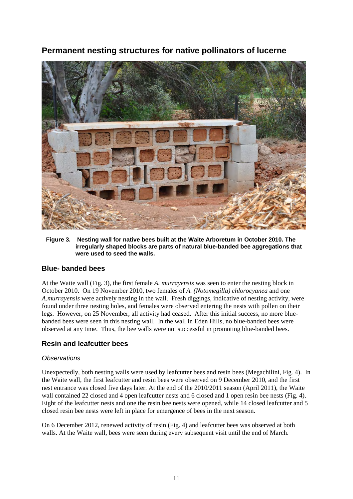<span id="page-20-0"></span>**Permanent nesting structures for native pollinators of lucerne**



<span id="page-20-1"></span>**Figure 3. Nesting wall for native bees built at the Waite Arboretum in October 2010. The irregularly shaped blocks are parts of natural blue-banded bee aggregations that were used to seed the walls.** 

#### **Blue- banded bees**

At the Waite wall (Fig. 3), the first female *A. murrayensis* was seen to enter the nesting block in October 2010. On 19 November 2010, two females of *A. (Notomegilla) chlorocyanea* and one *A.murrayensis* were actively nesting in the wall. Fresh diggings, indicative of nesting activity, were found under three nesting holes, and females were observed entering the nests with pollen on their legs. However, on 25 November, all activity had ceased. After this initial success, no more bluebanded bees were seen in this nesting wall. In the wall in Eden Hills, no blue-banded bees were observed at any time. Thus, the bee walls were not successful in promoting blue-banded bees.

#### **Resin and leafcutter bees**

#### *Observations*

Unexpectedly, both nesting walls were used by leafcutter bees and resin bees (Megachilini, Fig*.* 4). In the Waite wall, the first leafcutter and resin bees were observed on 9 December 2010, and the first nest entrance was closed five days later. At the end of the 2010/2011 season (April 2011), the Waite wall contained 22 closed and 4 open leafcutter nests and 6 closed and 1 open resin bee nests (Fig. 4). Eight of the leafcutter nests and one the resin bee nests were opened, while 14 closed leafcutter and 5 closed resin bee nests were left in place for emergence of bees in the next season.

On 6 December 2012, renewed activity of resin (Fig. 4) and leafcutter bees was observed at both walls. At the Waite wall, bees were seen during every subsequent visit until the end of March.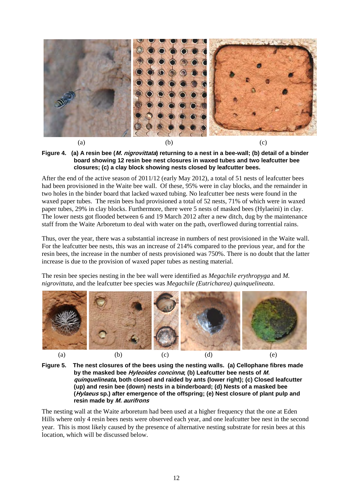

<span id="page-21-0"></span>**Figure 4. (a) A resin bee (M. nigrovittata) returning to a nest in a bee-wall; (b) detail of a binder board showing 12 resin bee nest closures in waxed tubes and two leafcutter bee closures; (c) a clay block showing nests closed by leafcutter bees.** 

After the end of the active season of 2011/12 (early May 2012), a total of 51 nests of leafcutter bees had been provisioned in the Waite bee wall. Of these, 95% were in clay blocks, and the remainder in two holes in the binder board that lacked waxed tubing. No leafcutter bee nests were found in the waxed paper tubes. The resin bees had provisioned a total of 52 nests, 71% of which were in waxed paper tubes, 29% in clay blocks. Furthermore, there were 5 nests of masked bees (Hylaeini) in clay. The lower nests got flooded between 6 and 19 March 2012 after a new ditch, dug by the maintenance staff from the Waite Arboretum to deal with water on the path, overflowed during torrential rains.

Thus, over the year, there was a substantial increase in numbers of nest provisioned in the Waite wall. For the leafcutter bee nests, this was an increase of 214% compared to the previous year, and for the resin bees, the increase in the number of nests provisioned was 750%. There is no doubt that the latter increase is due to the provision of waxed paper tubes as nesting material.

The resin bee species nesting in the bee wall were identified as *Megachile erythropyga* and *M. nigrovittata*, and the leafcutter bee species was *Megachile (Eutricharea) quinquelineata*.



<span id="page-21-1"></span>

The nesting wall at the Waite arboretum had been used at a higher frequency that the one at Eden Hills where only 4 resin bees nests were observed each year, and one leafcutter bee nest in the second year. This is most likely caused by the presence of alternative nesting substrate for resin bees at this location, which will be discussed below.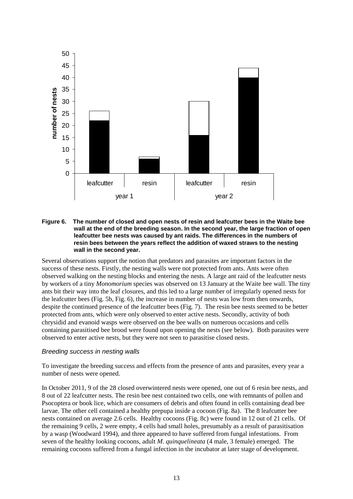

#### <span id="page-22-0"></span>**Figure 6. The number of closed and open nests of resin and leafcutter bees in the Waite bee wall at the end of the breeding season. In the second year, the large fraction of open leafcutter bee nests was caused by ant raids. The differences in the numbers of resin bees between the years reflect the addition of waxed straws to the nesting wall in the second year.**

Several observations support the notion that predators and parasites are important factors in the success of these nests. Firstly, the nesting walls were not protected from ants. Ants were often observed walking on the nesting blocks and entering the nests. A large ant raid of the leafcutter nests by workers of a tiny *Monomorium* species was observed on 13 January at the Waite bee wall. The tiny ants bit their way into the leaf closures, and this led to a large number of irregularly opened nests for the leafcutter bees (Fig. 5b, Fig. 6), the increase in number of nests was low from then onwards, despite the continued presence of the leafcutter bees (Fig. 7). The resin bee nests seemed to be better protected from ants, which were only observed to enter active nests. Secondly, activity of both chrysidid and evanoid wasps were observed on the bee walls on numerous occasions and cells containing parasitised bee brood were found upon opening the nests (see below). Both parasites were observed to enter active nests, but they were not seen to parasitise closed nests.

#### *Breeding success in nesting walls*

To investigate the breeding success and effects from the presence of ants and parasites, every year a number of nests were opened.

In October 2011, 9 of the 28 closed overwintered nests were opened, one out of 6 resin bee nests, and 8 out of 22 leafcutter nests. The resin bee nest contained two cells, one with remnants of pollen and Psocoptera or book lice, which are consumers of debris and often found in cells containing dead bee larvae. The other cell contained a healthy prepupa inside a cocoon (Fig. 8a). The 8 leafcutter bee nests contained on average 2.6 cells. Healthy cocoons (Fig. 8c) were found in 12 out of 21 cells. Of the remaining 9 cells, 2 were empty, 4 cells had small holes, presumably as a result of parasitisation by a wasp (Woodward 1994), and three appeared to have suffered from fungal infestations. From seven of the healthy looking cocoons, adult *M. quinquelineata* (4 male, 3 female) emerged. The remaining cocoons suffered from a fungal infection in the incubator at later stage of development.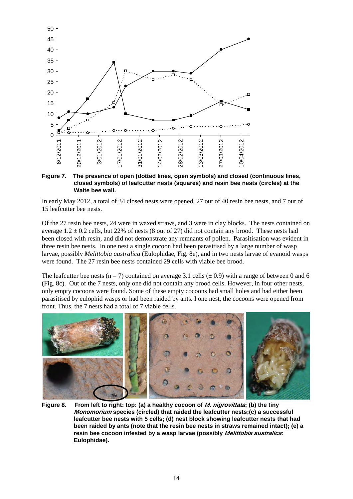

#### <span id="page-23-0"></span>**Figure 7. The presence of open (dotted lines, open symbols) and closed (continuous lines, closed symbols) of leafcutter nests (squares) and resin bee nests (circles) at the Waite bee wall.**

In early May 2012, a total of 34 closed nests were opened, 27 out of 40 resin bee nests, and 7 out of 15 leafcutter bee nests.

Of the 27 resin bee nests, 24 were in waxed straws, and 3 were in clay blocks. The nests contained on average  $1.2 \pm 0.2$  cells, but 22% of nests (8 out of 27) did not contain any brood. These nests had been closed with resin, and did not demonstrate any remnants of pollen. Parasitisation was evident in three resin bee nests. In one nest a single cocoon had been parasitised by a large number of wasp larvae, possibly *Melittobia australica* (Eulophidae, Fig. 8e), and in two nests larvae of evanoid wasps were found. The 27 resin bee nests contained 29 cells with viable bee brood.

The leafcutter bee nests (n = 7) contained on average 3.1 cells ( $\pm$  0.9) with a range of between 0 and 6 (Fig. 8c). Out of the 7 nests, only one did not contain any brood cells. However, in four other nests, only empty cocoons were found. Some of these empty cocoons had small holes and had either been parasitised by eulophid wasps or had been raided by ants. I one nest, the cocoons were opened from front. Thus, the 7 nests had a total of 7 viable cells.



<span id="page-23-1"></span>**Figure 8. From left to right: top: (a) a healthy cocoon of M. nigrovittata; (b) the tiny Monomorium species (circled) that raided the leafcutter nests;(c) a successful leafcutter bee nests with 5 cells; (d) nest block showing leafcutter nests that had been raided by ants (note that the resin bee nests in straws remained intact); (e) a resin bee cocoon infested by a wasp larvae (possibly Melittobia australica: Eulophidae).**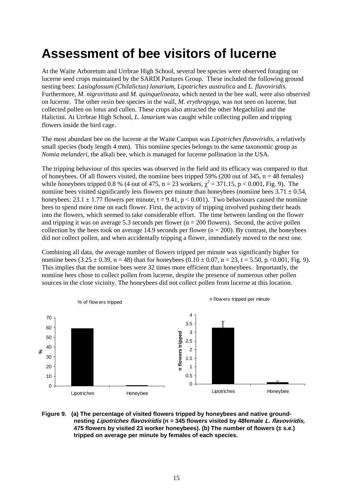## <span id="page-24-0"></span>**Assessment of bee visitors of lucerne**

At the Waite Arboretum and Urrbrae High School, several bee species were observed foraging on lucerne seed crops maintained by the SARDI Pastures Group. These included the following ground nesting bees: *Lasioglossum (Chilalictus) lanarium*, *Lipotriches australica* and *L. flavoviridis.* Furthermore, *M. nigrovittata* and *M. quinquelineata*, which nested in the bee wall, were also observed on lucerne. The other resin bee species in the wall, *M. erythropyga,* was not seen on lucerne, but collected pollen on lotus and cullen. These crops also attracted the other Megachilini and the Halictini. At Urrbrae High School, *L. lanarium* was caught while collecting pollen and tripping flowers inside the bird cage.

The most abundant bee on the lucerne at the Waite Campus was *Lipotriches flavoviridis,* a relatively small species (body length 4 mm). This nomiine species belongs to the same taxonomic group as *Nomia melanderi*, the alkali bee, which is managed for lucerne pollination in the USA.

The tripping behaviour of this species was observed in the field and its efficacy was compared to that of honeybees. Of all flowers visited, the nomiine bees tripped 59% (200 out of 345,  $n = 48$  females) while honeybees tripped 0.8 % (4 out of 475, n = 23 workers,  $\chi^2$  = 371.15, p < 0.001, Fig. 9). The nomiine bees visited significantly less flowers per minute than honeybees (nomiine bees  $3.71 \pm 0.54$ , honeybees:  $23.1 \pm 1.77$  flowers per minute,  $t = 9.41$ ,  $p < 0.001$ ). Two behaviours caused the nomiine bees to spend more time on each flower. First, the activity of tripping involved pushing their heads into the flowers, which seemed to take considerable effort. The time between landing on the flower and tripping it was on average 5.3 seconds per flower ( $n = 200$  flowers). Second, the active pollen collection by the bees took on average 14.9 seconds per flower ( $n = 200$ ). By contrast, the honeybees did not collect pollen, and when accidentally tripping a flower, immediately moved to the next one.

Combining all data, the average number of flowers tripped per minute was significantly higher for nomiine bees (3.25 ± 0.39, n = 48) than for honeybees (0.10 ± 0.07, n = 23, t = 5.50, p <0.001, Fig. 9). This implies that the nomiine bees were 32 times more efficient than honeybees. Importantly, the nomiine bees chose to collect pollen from lucerne, despite the presence of numerous other pollen sources in the close vicinity. The honeybees did not collect pollen from lucerne at this location.



#### <span id="page-24-1"></span>**Figure 9. (a) The percentage of visited flowers tripped by honeybees and native groundnesting Lipotriches flavoviridis (n = 345 flowers visited by 48female L. flavoviridis, 475 flowers by visited 23 worker honeybees). (b) The number of flowers (± s.e.) tripped on average per minute by females of each species.**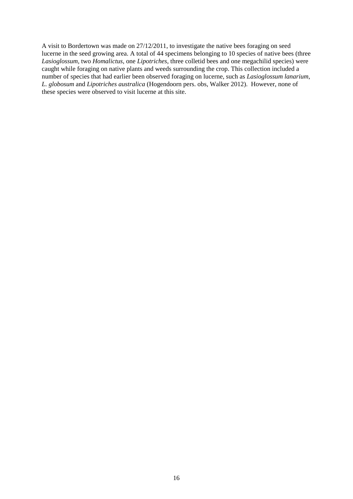A visit to Bordertown was made on 27/12/2011, to investigate the native bees foraging on seed lucerne in the seed growing area. A total of 44 specimens belonging to 10 species of native bees (three *Lasioglossum*, two *Homalictus*, one *Lipotriches*, three colletid bees and one megachilid species) were caught while foraging on native plants and weeds surrounding the crop. This collection included a number of species that had earlier been observed foraging on lucerne, such as *Lasioglossum lanarium*, *L. globosum* and *Lipotriches australica* (Hogendoorn pers. obs, Walker 2012). However, none of these species were observed to visit lucerne at this site.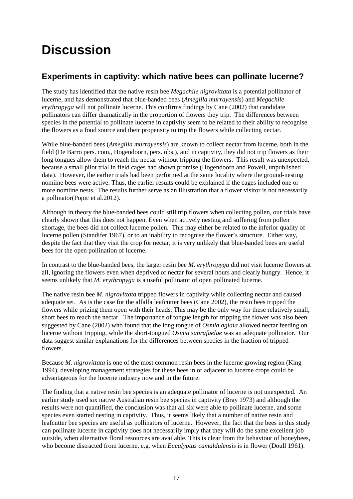## <span id="page-26-0"></span>**Discussion**

### <span id="page-26-1"></span>**Experiments in captivity: which native bees can pollinate lucerne?**

The study has identified that the native resin bee *Megachile nigrovittata* is a potential pollinator of lucerne, and has demonstrated that blue-banded bees (*Amegilla murrayensis*) and *Megachile erythropyga* will not pollinate lucerne. This confirms findings by Cane (2002) that candidate pollinators can differ dramatically in the proportion of flowers they trip. The differences between species in the potential to pollinate lucerne in captivity seem to be related to their ability to recognise the flowers as a food source and their propensity to trip the flowers while collecting nectar.

While blue-banded bees (*Amegilla murrayensis*) are known to collect nectar from lucerne, both in the field (De Barro pers. com., Hogendoorn, pers. obs.), and in captivity, they did not trip flowers as their long tongues allow them to reach the nectar without tripping the flowers. This result was unexpected, because a small pilot trial in field cages had shown promise (Hogendoorn and Powell, unpublished data). However, the earlier trials had been performed at the same locality where the ground-nesting nomiine bees were active. Thus, the earlier results could be explained if the cages included one or more nomiine nests. The results further serve as an illustration that a flower visitor is not necessarily a pollinator(Popic et al.2012).

Although in theory the blue-banded bees could still trip flowers when collecting pollen, our trials have clearly shown that this does not happen. Even when actively nesting and suffering from pollen shortage, the bees did not collect lucerne pollen. This may either be related to the inferior quality of lucerne pollen (Standifer 1967), or to an inability to recognise the flower's structure. Either way, despite the fact that they visit the crop for nectar, it is very unlikely that blue-banded bees are useful bees for the open pollination of lucerne.

In contrast to the blue-banded bees, the larger resin bee *M. erythropyga* did not visit lucerne flowers at all, ignoring the flowers even when deprived of nectar for several hours and clearly hungry. Hence, it seems unlikely that *M. erythropyga* is a useful pollinator of open pollinated lucerne.

The native resin bee *M. nigrovittata* tripped flowers in captivity while collecting nectar and caused adequate set. As is the case for the alfalfa leafcutter bees (Cane 2002), the resin bees tripped the flowers while prizing them open with their heads. This may be the only way for these relatively small, short bees to reach the nectar. The importance of tongue length for tripping the flower was also been suggested by Cane (2002) who found that the long tongue of *Osmia aglaia* allowed nectar feeding on lucerne without tripping, while the short-tongued *Osmia sanrafaelae* was an adequate pollinator. Our data suggest similar explanations for the differences between species in the fraction of tripped flowers.

Because *M. nigrovittata* is one of the most common resin bees in the lucerne growing region (King 1994), developing management strategies for these bees in or adjacent to lucerne crops could be advantageous for the lucerne industry now and in the future.

The finding that a native resin bee species is an adequate pollinator of lucerne is not unexpected. An earlier study used six native Australian resin bee species in captivity (Bray 1973) and although the results were not quantified, the conclusion was that all six were able to pollinate lucerne, and some species even started nesting in captivity. Thus, it seems likely that a number of native resin and leafcutter bee species are useful as pollinators of lucerne. However, the fact that the bees in this study can pollinate lucerne in captivity does not necessarily imply that they will do the same excellent job outside, when alternative floral resources are available. This is clear from the behaviour of honeybees, who become distracted from lucerne, e.g. when *Eucalyptus camaldulensis* is in flower (Doull 1961).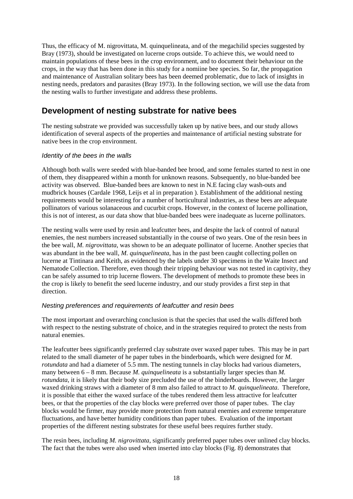Thus, the efficacy of M. nigrovittata, M. quinquelineata, and of the megachilid species suggested by Bray (1973), should be investigated on lucerne crops outside. To achieve this, we would need to maintain populations of these bees in the crop environment, and to document their behaviour on the crops, in the way that has been done in this study for a nomiine bee species. So far, the propagation and maintenance of Australian solitary bees has been deemed problematic, due to lack of insights in nesting needs, predators and parasites (Bray 1973). In the following section, we will use the data from the nesting walls to further investigate and address these problems.

### <span id="page-27-0"></span>**Development of nesting substrate for native bees**

The nesting substrate we provided was successfully taken up by native bees, and our study allows identification of several aspects of the properties and maintenance of artificial nesting substrate for native bees in the crop environment.

#### *Identity of the bees in the walls*

Although both walls were seeded with blue-banded bee brood, and some females started to nest in one of them, they disappeared within a month for unknown reasons. Subsequently, no blue-banded bee activity was observed. Blue-banded bees are known to nest in N.E facing clay wash-outs and mudbrick houses (Cardale 1968, Leijs et al in preparation ). Establishment of the additional nesting requirements would be interesting for a number of horticultural industries, as these bees are adequate pollinators of various solanaceous and cucurbit crops. However, in the context of lucerne pollination, this is not of interest, as our data show that blue-banded bees were inadequate as lucerne pollinators.

The nesting walls were used by resin and leafcutter bees, and despite the lack of control of natural enemies, the nest numbers increased substantially in the course of two years. One of the resin bees in the bee wall, *M. nigrovittata*, was shown to be an adequate pollinator of lucerne. Another species that was abundant in the bee wall, *M. quinquelineata,* has in the past been caught collecting pollen on lucerne at Tintinara and Keith, as evidenced by the labels under 30 specimens in the Waite Insect and Nematode Collection. Therefore, even though their tripping behaviour was not tested in captivity, they can be safely assumed to trip lucerne flowers. The development of methods to promote these bees in the crop is likely to benefit the seed lucerne industry, and our study provides a first step in that direction.

#### *Nesting preferences and requirements of leafcutter and resin bees*

The most important and overarching conclusion is that the species that used the walls differed both with respect to the nesting substrate of choice, and in the strategies required to protect the nests from natural enemies.

The leafcutter bees significantly preferred clay substrate over waxed paper tubes. This may be in part related to the small diameter of he paper tubes in the binderboards, which were designed for *M. rotundata* and had a diameter of 5.5 mm. The nesting tunnels in clay blocks had various diameters, many between  $6 - 8$  mm. Because *M. quinquelineata* is a substantially larger species than *M*. *rotundata*, it is likely that their body size precluded the use of the binderboards. However, the larger waxed drinking straws with a diameter of 8 mm also failed to attract to *M. quinquelineata*. Therefore, it is possible that either the waxed surface of the tubes rendered them less attractive for leafcutter bees, or that the properties of the clay blocks were preferred over those of paper tubes. The clay blocks would be firmer, may provide more protection from natural enemies and extreme temperature fluctuations, and have better humidity conditions than paper tubes. Evaluation of the important properties of the different nesting substrates for these useful bees requires further study.

The resin bees, including *M. nigrovittata*, significantly preferred paper tubes over unlined clay blocks. The fact that the tubes were also used when inserted into clay blocks (Fig*.* 8) demonstrates that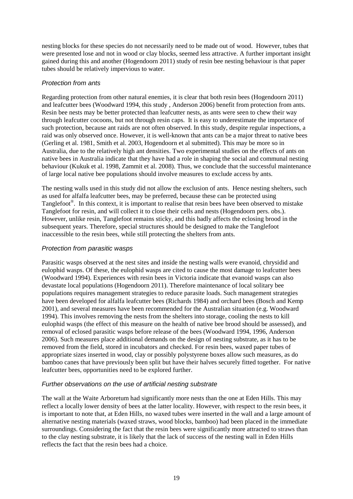nesting blocks for these species do not necessarily need to be made out of wood. However, tubes that were presented lose and not in wood or clay blocks, seemed less attractive. A further important insight gained during this and another (Hogendoorn 2011) study of resin bee nesting behaviour is that paper tubes should be relatively impervious to water.

#### *Protection from ants*

Regarding protection from other natural enemies, it is clear that both resin bees (Hogendoorn 2011) and leafcutter bees (Woodward 1994, this study , Anderson 2006) benefit from protection from ants. Resin bee nests may be better protected than leafcutter nests, as ants were seen to chew their way through leafcutter cocoons, but not through resin caps. It is easy to underestimate the importance of such protection, because ant raids are not often observed. In this study, despite regular inspections, a raid was only observed once. However, it is well-known that ants can be a major threat to native bees (Gerling et al. 1981, Smith et al. 2003, Hogendoorn et al submitted). This may be more so in Australia, due to the relatively high ant densities. Two experimental studies on the effects of ants on native bees in Australia indicate that they have had a role in shaping the social and communal nesting behaviour (Kukuk et al. 1998, Zammit et al. 2008). Thus, we conclude that the successful maintenance of large local native bee populations should involve measures to exclude access by ants.

The nesting walls used in this study did not allow the exclusion of ants. Hence nesting shelters, such as used for alfalfa leafcutter bees, may be preferred, because these can be protected using Tanglefoot®. In this context, it is important to realise that resin bees have been observed to mistake Tanglefoot for resin, and will collect it to close their cells and nests (Hogendoorn pers. obs.). However, unlike resin, Tanglefoot remains sticky, and this badly affects the eclosing brood in the subsequent years. Therefore, special structures should be designed to make the Tanglefoot inaccessible to the resin bees, while still protecting the shelters from ants.

#### *Protection from parasitic wasps*

Parasitic wasps observed at the nest sites and inside the nesting walls were evanoid, chrysidid and eulophid wasps. Of these, the eulophid wasps are cited to cause the most damage to leafcutter bees (Woodward 1994). Experiences with resin bees in Victoria indicate that evanoid wasps can also devastate local populations (Hogendoorn 2011). Therefore maintenance of local solitary bee populations requires management strategies to reduce parasite loads. Such management strategies have been developed for alfalfa leafcutter bees (Richards 1984) and orchard bees (Bosch and Kemp 2001), and several measures have been recommended for the Australian situation (e.g. Woodward 1994). This involves removing the nests from the shelters into storage, cooling the nests to kill eulophid wasps (the effect of this measure on the health of native bee brood should be assessed), and removal of eclosed parasitic wasps before release of the bees (Woodward 1994, 1996, Anderson 2006). Such measures place additional demands on the design of nesting substrate, as it has to be removed from the field, stored in incubators and checked. For resin bees, waxed paper tubes of appropriate sizes inserted in wood, clay or possibly polystyrene boxes allow such measures, as do bamboo canes that have previously been split but have their halves securely fitted together. For native leafcutter bees, opportunities need to be explored further.

#### *Further observations on the use of artificial nesting substrate*

The wall at the Waite Arboretum had significantly more nests than the one at Eden Hills. This may reflect a locally lower density of bees at the latter locality. However, with respect to the resin bees, it is important to note that, at Eden Hills, no waxed tubes were inserted in the wall and a large amount of alternative nesting materials (waxed straws, wood blocks, bamboo) had been placed in the immediate surroundings. Considering the fact that the resin bees were significantly more attracted to straws than to the clay nesting substrate, it is likely that the lack of success of the nesting wall in Eden Hills reflects the fact that the resin bees had a choice.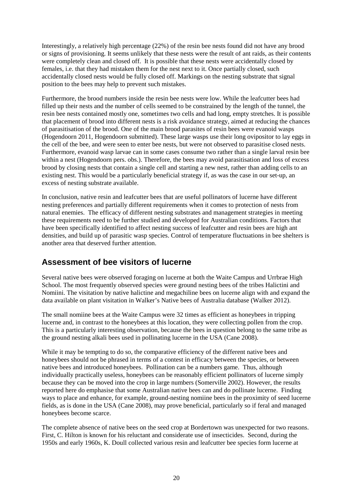Interestingly, a relatively high percentage (22%) of the resin bee nests found did not have any brood or signs of provisioning. It seems unlikely that these nests were the result of ant raids, as their contents were completely clean and closed off. It is possible that these nests were accidentally closed by females, i.e. that they had mistaken them for the nest next to it. Once partially closed, such accidentally closed nests would be fully closed off. Markings on the nesting substrate that signal position to the bees may help to prevent such mistakes.

Furthermore, the brood numbers inside the resin bee nests were low. While the leafcutter bees had filled up their nests and the number of cells seemed to be constrained by the length of the tunnel, the resin bee nests contained mostly one, sometimes two cells and had long, empty stretches. It is possible that placement of brood into different nests is a risk avoidance strategy, aimed at reducing the chances of parasitisation of the brood. One of the main brood parasites of resin bees were evanoid wasps (Hogendoorn 2011, Hogendoorn submitted). These large wasps use their long ovipositor to lay eggs in the cell of the bee, and were seen to enter bee nests, but were not observed to parasitise closed nests. Furthermore, evanoid wasp larvae can in some cases consume two rather than a single larval resin bee within a nest (Hogendoorn pers. obs.). Therefore, the bees may avoid parasitisation and loss of excess brood by closing nests that contain a single cell and starting a new nest, rather than adding cells to an existing nest. This would be a particularly beneficial strategy if, as was the case in our set-up, an excess of nesting substrate available.

In conclusion, native resin and leafcutter bees that are useful pollinators of lucerne have different nesting preferences and partially different requirements when it comes to protection of nests from natural enemies. The efficacy of different nesting substrates and management strategies in meeting these requirements need to be further studied and developed for Australian conditions. Factors that have been specifically identified to affect nesting success of leafcutter and resin bees are high ant densities, and build up of parasitic wasp species. Control of temperature fluctuations in bee shelters is another area that deserved further attention.

### <span id="page-29-0"></span>**Assessment of bee visitors of lucerne**

Several native bees were observed foraging on lucerne at both the Waite Campus and Urrbrae High School. The most frequently observed species were ground nesting bees of the tribes Halictini and Nomiini. The visitation by native halictine and megachiline bees on lucerne align with and expand the data available on plant visitation in Walker's Native bees of Australia database (Walker 2012).

The small nomiine bees at the Waite Campus were 32 times as efficient as honeybees in tripping lucerne and, in contrast to the honeybees at this location, they were collecting pollen from the crop. This is a particularly interesting observation, because the bees in question belong to the same tribe as the ground nesting alkali bees used in pollinating lucerne in the USA (Cane 2008).

While it may be tempting to do so, the comparative efficiency of the different native bees and honeybees should not be phrased in terms of a contest in efficacy between the species, or between native bees and introduced honeybees. Pollination can be a numbers game. Thus, although individually practically useless, honeybees can be reasonably efficient pollinators of lucerne simply because they can be moved into the crop in large numbers (Somerville 2002). However, the results reported here do emphasise that some Australian native bees can and do pollinate lucerne. Finding ways to place and enhance, for example, ground-nesting nomiine bees in the proximity of seed lucerne fields, as is done in the USA (Cane 2008), may prove beneficial, particularly so if feral and managed honeybees become scarce.

The complete absence of native bees on the seed crop at Bordertown was unexpected for two reasons. First, C. Hilton is known for his reluctant and considerate use of insecticides. Second, during the 1950s and early 1960s, K. Doull collected various resin and leafcutter bee species form lucerne at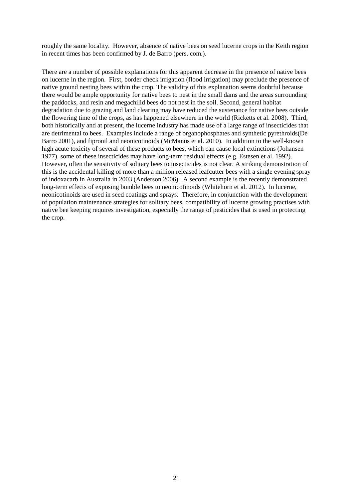roughly the same locality. However, absence of native bees on seed lucerne crops in the Keith region in recent times has been confirmed by J. de Barro (pers. com.).

There are a number of possible explanations for this apparent decrease in the presence of native bees on lucerne in the region. First, border check irrigation (flood irrigation) may preclude the presence of native ground nesting bees within the crop. The validity of this explanation seems doubtful because there would be ample opportunity for native bees to nest in the small dams and the areas surrounding the paddocks, and resin and megachilid bees do not nest in the soil. Second, general habitat degradation due to grazing and land clearing may have reduced the sustenance for native bees outside the flowering time of the crops, as has happened elsewhere in the world (Ricketts et al. 2008). Third, both historically and at present, the lucerne industry has made use of a large range of insecticides that are detrimental to bees. Examples include a range of organophosphates and synthetic pyrethroids(De Barro 2001), and fipronil and neonicotinoids (McManus et al. 2010). In addition to the well-known high acute toxicity of several of these products to bees, which can cause local extinctions (Johansen 1977), some of these insecticides may have long-term residual effects (e.g. Estesen et al. 1992). However, often the sensitivity of solitary bees to insecticides is not clear. A striking demonstration of this is the accidental killing of more than a million released leafcutter bees with a single evening spray of indoxacarb in Australia in 2003 (Anderson 2006). A second example is the recently demonstrated long-term effects of exposing bumble bees to neonicotinoids (Whitehorn et al. 2012). In lucerne, neonicotinoids are used in seed coatings and sprays. Therefore, in conjunction with the development of population maintenance strategies for solitary bees, compatibility of lucerne growing practises with native bee keeping requires investigation, especially the range of pesticides that is used in protecting the crop.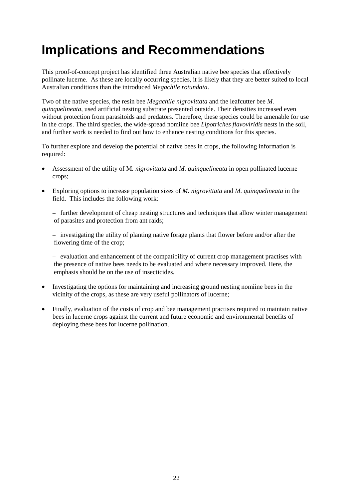## **Implications and Recommendations**

This proof-of-concept project has identified three Australian native bee species that effectively pollinate lucerne. As these are locally occurring species, it is likely that they are better suited to local Australian conditions than the introduced *Megachile rotundata*.

Two of the native species, the resin bee *Megachile nigrovittata* and the leafcutter bee *M. quinquelineata*, used artificial nesting substrate presented outside. Their densities increased even without protection from parasitoids and predators. Therefore, these species could be amenable for use in the crops. The third species, the wide-spread nomiine bee *Lipotriches flavoviridis* nests in the soil, and further work is needed to find out how to enhance nesting conditions for this species.

To further explore and develop the potential of native bees in crops, the following information is required:

- Assessment of the utility of M*. nigrovittata* and *M. quinquelineata* in open pollinated lucerne crops;
- Exploring options to increase population sizes of *M. nigrovittata* and *M. quinquelineata* in the field. This includes the following work:

− further development of cheap nesting structures and techniques that allow winter management of parasites and protection from ant raids;

− investigating the utility of planting native forage plants that flower before and/or after the flowering time of the crop;

− evaluation and enhancement of the compatibility of current crop management practises with the presence of native bees needs to be evaluated and where necessary improved. Here, the emphasis should be on the use of insecticides.

- Investigating the options for maintaining and increasing ground nesting nomiine bees in the vicinity of the crops, as these are very useful pollinators of lucerne;
- Finally, evaluation of the costs of crop and bee management practises required to maintain native bees in lucerne crops against the current and future economic and environmental benefits of deploying these bees for lucerne pollination.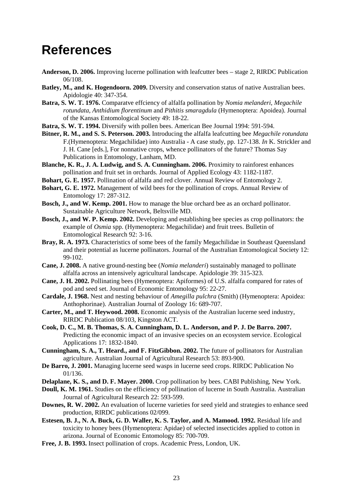### <span id="page-32-0"></span>**References**

- **Anderson, D. 2006.** Improving lucerne pollination with leafcutter bees stage 2, RIRDC Publication 06/108.
- **Batley, M., and K. Hogendoorn. 2009.** Diversity and conservation status of native Australian bees. Apidologie 40: 347-354.
- **Batra, S. W. T. 1976.** Comparatve effciency of alfalfa pollination by *Nomia melanderi*, *Megachile rotundata*, *Anthidium florentinum* and *Pithitis smaragdula* (Hymenoptera: Apoidea). Journal of the Kansas Entomological Society 49: 18-22.
- **Batra, S. W. T. 1994.** Diversify with pollen bees. American Bee Journal 1994: 591-594.
- **Bitner, R. M., and S. S. Peterson. 2003.** Introducing the alfalfa leafcutting bee *Megachile rotundata* F.(Hymenoptera: Megachilidae) into Australia - A case study, pp. 127-138. *In* K. Strickler and J. H. Cane [eds.], For nonnative crops, whence pollinators of the future? Thomas Say Publications in Entomology, Lanham, MD.
- **Blanche, K. R., J. A. Ludwig, and S. A. Cunningham. 2006.** Proximity to rainforest enhances pollination and fruit set in orchards. Journal of Applied Ecology 43: 1182-1187.
- **Bohart, G. E. 1957.** Pollination of alfalfa and red clover. Annual Review of Entomology 2.
- **Bohart, G. E. 1972.** Management of wild bees for the pollination of crops. Annual Review of Entomology 17: 287-312.
- **Bosch, J., and W. Kemp. 2001.** How to manage the blue orchard bee as an orchard pollinator. Sustainable Agriculture Network, Beltsville MD.
- **Bosch, J., and W. P. Kemp. 2002.** Developing and establishing bee species as crop pollinators: the example of *Osmia* spp. (Hymenoptera: Megachilidae) and fruit trees. Bulletin of Entomological Research 92: 3-16.
- **Bray, R. A. 1973.** Characteristics of some bees of the family Megachilidae in Southeast Queensland and their potential as lucerne pollinators. Journal of the Australian Entomological Society 12: 99-102.
- **Cane, J. 2008.** A native ground-nesting bee (*Nomia melanderi*) sustainably managed to pollinate alfalfa across an intensively agricultural landscape. Apidologie 39: 315-323.
- **Cane, J. H. 2002.** Pollinating bees (Hymenoptera: Apiformes) of U.S. alfalfa compared for rates of pod and seed set. Journal of Economic Entomology 95: 22-27.
- **Cardale, J. 1968.** Nest and nesting behaviour of *Amegilla pulchra* (Smith) (Hymenoptera: Apoidea: Anthophorinae). Australian Journal of Zoology 16: 689-707.
- **Carter, M., and T. Heywood. 2008.** Economic analysis of the Australian lucerne seed industry, RIRDC Publication 08/103, Kingston ACT.
- **Cook, D. C., M. B. Thomas, S. A. Cunningham, D. L. Anderson, and P. J. De Barro. 2007.** Predicting the economic impact of an invasive species on an ecosystem service. Ecological Applications 17: 1832-1840.
- **Cunningham, S. A., T. Heard., and F. FitzGibbon. 2002.** The future of pollinators for Australian agriculture. Australian Journal of Agricultural Research 53: 893-900.
- **De Barro, J. 2001.** Managing lucerne seed wasps in lucerne seed crops. RIRDC Publication No 01/136.
- **Delaplane, K. S., and D. F. Mayer. 2000.** Crop pollination by bees. CABI Publishing, New York.
- **Doull, K. M. 1961.** Studies on the efficiency of pollination of lucerne in South Australia. Australian Journal of Agricultural Research 22: 593-599.
- **Downes, R. W. 2002.** An evaluation of lucerne varieties for seed yield and strategies to enhance seed production, RIRDC publications 02/099.
- **Estesen, B. J., N. A. Buck, G. D. Waller, K. S. Taylor, and A. Mamood. 1992.** Residual life and toxicity to honey bees (Hymenoptera: Apidae) of selected insecticides applied to cotton in arizona. Journal of Economic Entomology 85: 700-709.
- **Free, J. B. 1993.** Insect pollination of crops. Academic Press, London, UK.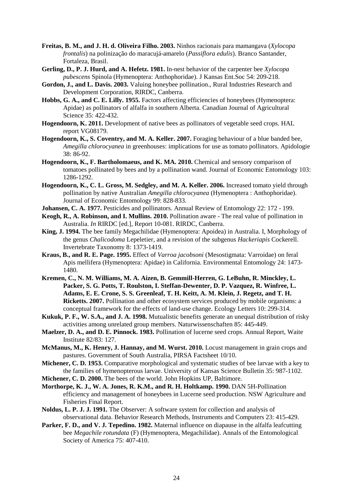- **Freitas, B. M., and J. H. d. Oliveira Filho. 2003.** Ninhos racionais para mamangava (*Xylocopa frontalis*) na polinização do maracujá-amarelo (*Passiflora edulis*). Branco Santander, Fortaleza, Brasil.
- **Gerling, D., P. J. Hurd, and A. Hefetz. 1981.** In-nest behavior of the carpenter bee *Xylocopa pubescens* Spinola (Hymenoptera: Anthophoridae). J Kansas Ent.Soc 54: 209-218.
- **Gordon, J., and L. Davis. 2003.** Valuing honeybee pollination., Rural Industries Research and Development Corporation, RIRDC, Canberra.
- **Hobbs, G. A., and C. E. Lilly. 1955.** Factors affecting efficiencies of honeybees (Hymenoptera: Apidae) as pollinators of alfalfa in southern Alberta. Canadian Journal of Agricultural Science 35: 422-432.
- **Hogendoorn, K. 2011.** Development of native bees as pollinators of vegetable seed crops. HAL report VG08179.
- **Hogendoorn, K., S. Coventry, and M. A. Keller. 2007.** Foraging behaviour of a blue banded bee, *Amegilla chlorocyanea* in greenhouses: implications for use as tomato pollinators. Apidologie 38: 86-92.
- **Hogendoorn, K., F. Bartholomaeus, and K. MA. 2010.** Chemical and sensory comparison of tomatoes pollinated by bees and by a pollination wand. Journal of Economic Entomology 103: 1286-1292.
- **Hogendoorn, K., C. L. Gross, M. Sedgley, and M. A. Keller. 2006.** Increased tomato yield through pollination by native Australian *Amegilla chlorocyanea* (Hymenoptera : Anthophoridae). Journal of Economic Entomology 99: 828-833.
- **Johansen, C. A. 1977.** Pesticides and pollinators. Annual Review of Entomology 22: 172 199.
- **Keogh, R., A. Robinson, and I. Mullins. 2010.** Pollination aware The real value of pollination in Australia. *In* RIRDC [ed.], Report 10-081. RIRDC, Canberra.
- **King, J. 1994.** The bee family Megachilidae (Hymenoptera: Apoidea) in Australia. I, Morphology of the genus *Chalicodoma* Lepeletier, and a revision of the subgenus *Hackeriapis* Cockerell. Invertebrate Taxonomy 8: 1373-1419.
- **Kraus, B., and R. E. Page. 1995.** Effect of *Varroa jacobsoni* (Mesostigmata: Varroidae) on feral Apis mellifera (Hymenoptera: Apidae) in California. Environmental Entomology 24: 1473- 1480.
- **Kremen, C., N. M. Williams, M. A. Aizen, B. Gemmill-Herren, G. LeBuhn, R. Minckley, L. Packer, S. G. Potts, T. Roulston, I. Steffan-Dewenter, D. P. Vazquez, R. Winfree, L. Adams, E. E. Crone, S. S. Greenleaf, T. H. Keitt, A. M. Klein, J. Regetz, and T. H. Ricketts. 2007.** Pollination and other ecosystem services produced by mobile organisms: a conceptual framework for the effects of land-use change. Ecology Letters 10: 299-314.
- **Kukuk, P. F., W. S.A., and J. A. 1998.** Mutualistic benefits generate an unequal distribution of risky activities among unrelated group members. Naturwissenschaften 85: 445-449.
- **Maelzer, D. A., and D. E. Pinnock. 1983.** Pollination of lucerne seed crops. Annual Report, Waite Institute 82/83: 127.
- **McManus, M., K. Henry, J. Hannay, and M. Wurst. 2010.** Locust management in grain crops and pastures. Government of South Australia, PIRSA Factsheet 10/10.
- **Michener, C. D. 1953.** Comparative morphological and systematic studies of bee larvae with a key to the families of hymenopterous larvae. University of Kansas Science Bulletin 35: 987-1102.
- **Michener, C. D. 2000.** The bees of the world. John Hopkins UP, Baltimore.
- **Morthorpe, K. J., W. A. Jones, R. K.M., and R. H. Holtkamp. 1990.** DAN 5H-Pollination efficiency and management of honeybees in Lucerne seed production. NSW Agriculture and Fisheries Final Report.
- **Noldus, L. P. J. J. 1991.** The Observer: A software system for collection and analysis of observational data. Behavior Research Methods, Instruments and Computers 23: 415-429.
- **Parker, F. D., and V. J. Tepedino. 1982.** Maternal influence on diapause in the alfalfa leafcutting bee *Megachile rotundata* (F) (Hymenoptera, Megachilidae). Annals of the Entomological Society of America 75: 407-410.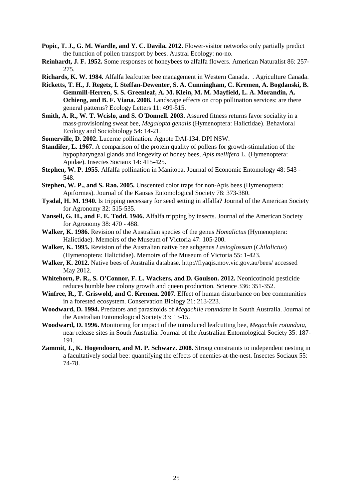- Popic, T. J., G. M. Wardle, and Y. C. Davila. 2012. Flower-visitor networks only partially predict the function of pollen transport by bees. Austral Ecology: no-no.
- **Reinhardt, J. F. 1952.** Some responses of honeybees to alfalfa flowers. American Naturalist 86: 257- 275.
- **Richards, K. W. 1984.** Alfalfa leafcutter bee management in Western Canada. . Agriculture Canada.
- **Ricketts, T. H., J. Regetz, I. Steffan-Dewenter, S. A. Cunningham, C. Kremen, A. Bogdanski, B. Gemmill-Herren, S. S. Greenleaf, A. M. Klein, M. M. Mayfield, L. A. Morandin, A. Ochieng, and B. F. Viana. 2008.** Landscape effects on crop pollination services: are there general patterns? Ecology Letters 11: 499-515.
- **Smith, A. R., W. T. Wcislo, and S. O'Donnell. 2003.** Assured fitness returns favor sociality in a mass-provisioning sweat bee, *Megalopta genalis* (Hymenoptera: Halictidae). Behavioral Ecology and Sociobiology 54: 14-21.
- **Somerville, D. 2002.** Lucerne pollination. Agnote DAI-134. DPI NSW.
- **Standifer, L. 1967.** A comparison of the protein quality of pollens for growth-stimulation of the hypopharyngeal glands and longevity of honey bees, *Apis mellifera* L. (Hymenoptera: Apidae). Insectes Sociaux 14: 415-425.
- **Stephen, W. P. 1955.** Alfalfa pollination in Manitoba. Journal of Economic Entomology 48: 543 548.
- **Stephen, W. P., and S. Rao. 2005.** Unscented color traps for non-Apis bees (Hymenoptera: Apiformes). Journal of the Kansas Entomological Society 78: 373-380.
- **Tysdal, H. M. 1940.** Is tripping necessary for seed setting in alfalfa? Journal of the American Society for Agronomy 32: 515-535.
- **Vansell, G. H., and F. E. Todd. 1946.** Alfalfa tripping by insects. Journal of the American Society for Agronomy 38: 470 - 488.
- **Walker, K. 1986.** Revision of the Australian species of the genus *Homalictus* (Hymenoptera: Halictidae). Memoirs of the Museum of Victoria 47: 105-200.
- **Walker, K. 1995.** Revision of the Australian native bee subgenus *Lasioglossum* (*Chilalictus*) (Hymenoptera: Halictidae). Memoirs of the Museum of Victoria 55: 1-423.
- **Walker, K. 2012.** Native bees of Australia database. http://flyaqis.mov.vic.gov.au/bees/ accessed May 2012.
- **Whitehorn, P. R., S. O'Connor, F. L. Wackers, and D. Goulson. 2012.** Neonicotinoid pesticide reduces bumble bee colony growth and queen production. Science 336: 351-352.
- **Winfree, R., T. Griswold, and C. Kremen. 2007.** Effect of human disturbance on bee communities in a forested ecosystem. Conservation Biology 21: 213-223.
- **Woodward, D. 1994.** Predators and parasitoids of *Megachile rotundata* in South Australia. Journal of the Australian Entomological Society 33: 13-15.
- **Woodward, D. 1996.** Monitoring for impact of the introduced leafcutting bee, *Megachile rotundata*, near release sites in South Australia. Journal of the Australian Entomological Society 35: 187- 191.
- **Zammit, J., K. Hogendoorn, and M. P. Schwarz. 2008.** Strong constraints to independent nesting in a facultatively social bee: quantifying the effects of enemies-at-the-nest. Insectes Sociaux 55: 74-78.